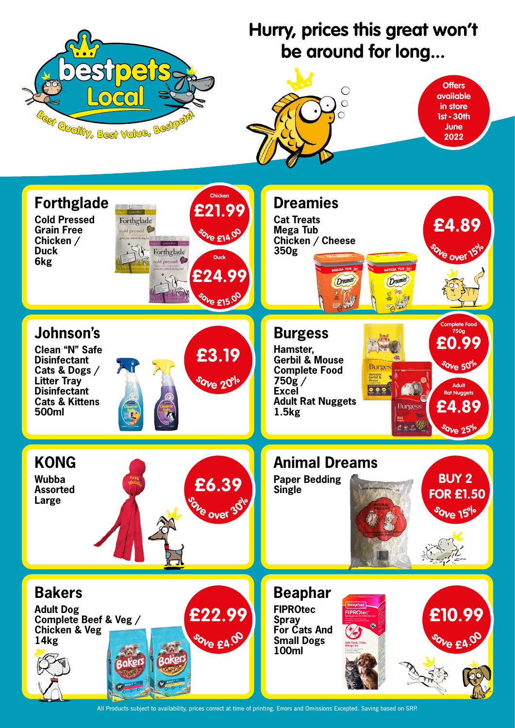## **Hurry, prices this great won't be around for long...**

All Products subject to availability, prices correct at time of printing. Errors and Omissions Excepted. Saving based on SRP.

**Animal Dreams**

animaldream,

**Paper Bedding**

**Single**





**Wubba Assorted**

**Large**

**KONG**



**<sup>s</sup>av<sup>e</sup> <sup>o</sup>ve<sup>r</sup> <sup>3</sup>0%**

**£6.39**

### **Chicken Forthglade Dreamies £21.99 Cold Pressed Cat Treats** Forthglade **£4.89 Grain Free Mega Tub** cold pressed **<sup>s</sup>av<sup>e</sup> £14.0<sup>0</sup> Chicken / Chicken / Cheese 350g Duck**  $\sqrt{\phantom{a}}$  Forthglade **<sup>s</sup>av<sup>e</sup> <sup>o</sup>ve<sup>r</sup> <sup>1</sup>5% Duck 6kg** cold pressed **£24.99** *Dreamies Dreamie* **<sup>s</sup>av<sup>e</sup> £15.0<sup>0</sup> Complete Food Johnson's Burgess 750g £0.99 Clean "N" Safe Hamster, £3.19 Gerbil & Mouse Disinfectant <sup>s</sup>av<sup>e</sup> <sup>5</sup>0% Burges Cats & Dogs / Complete Food** Hamster.<br>Gerbil fi **Litter Tray <sup>s</sup>av<sup>e</sup> <sup>2</sup>0% 750g /**   $\bullet$ **Adult Disinfectant Excel Rat Nuggets Cats & Kittens Adult Rat Nuggets £4.89 Burgess 500ml 1.5kg <sup>s</sup>av<sup>e</sup> <sup>2</sup>5%**

**<sup>s</sup>av<sup>e</sup> <sup>1</sup>5%**

**BUY 2**

 **FOR £1.50** 

**<sup>s</sup>av<sup>e</sup> £4.0<sup>0</sup>**

**£10.99**